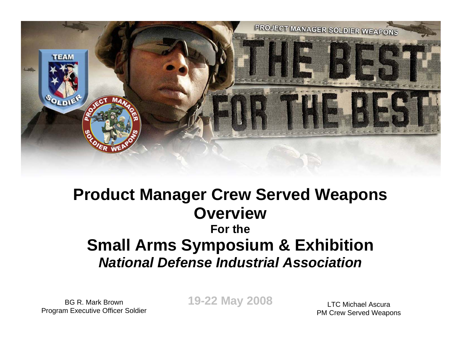

### **Product Manager Crew Served Weapons OverviewFor theSmall Arms Symposium & Exhibition** *National Defense Industrial Association*

BG R. Mark BrownProgram Executive Officer Soldier **19-22 May 2008**

LTC Michael AscuraPM Crew Served Weapons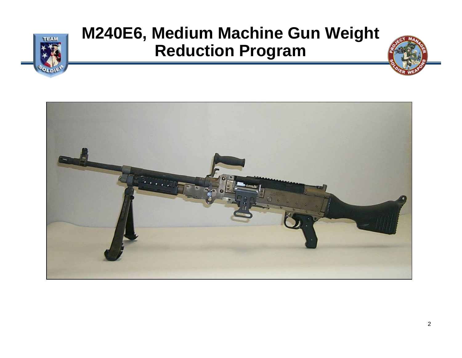

# **M240E6, Medium Machine Gun Weight Reduction Program**

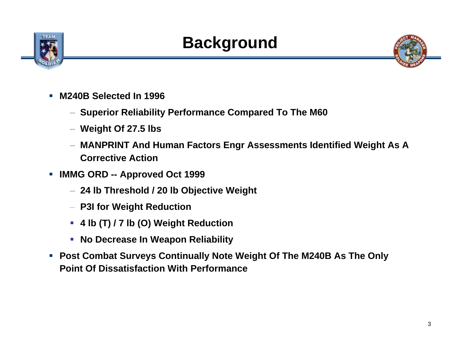

# **Background**



- Г **M240B Selected In 1996** 
	- **Superior Reliability Performance Compared To The M60**
	- **Weight Of 27.5 lbs**
	- **MANPRINT And Human Factors Engr Assessments Identified Weight As A Corrective Action**
- $\mathcal{L}_{\mathcal{A}}$  **IMMG ORD -- Approved Oct 1999**
	- **24 lb Threshold / 20 lb Objective Weight**
	- **P3I for Weight Reduction**
	- **4 lb (T) / 7 lb (O) Weight Reduction**
	- **No Decrease In Weapon Reliability**
- $\mathcal{L}_{\mathcal{A}}$  **Post Combat Surveys Continually Note Weight Of The M240B As The Only Point Of Dissatisfaction With Performance**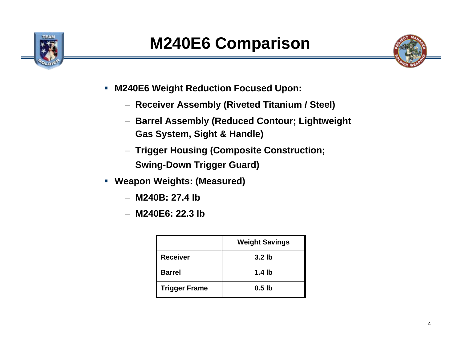



- $\blacksquare$  . **M240E6 Weight Reduction Focused Upon:**
	- **Receiver Assembly (Riveted Titanium / Steel)**
	- **Barrel Assembly (Reduced Contour; Lightweight Gas System, Sight & Handle)**
	- **Trigger Housing (Composite Construction; Swing-Down Trigger Guard)**
- **Weapon Weights: (Measured)**
	- **M240B: 27.4 lb**
	- **M240E6: 22.3 lb**

|                      | <b>Weight Savings</b> |
|----------------------|-----------------------|
| <b>Receiver</b>      | 3.2 <sub>lb</sub>     |
| <b>Barrel</b>        | 1.4 lb                |
| <b>Trigger Frame</b> | $0.5$ lb              |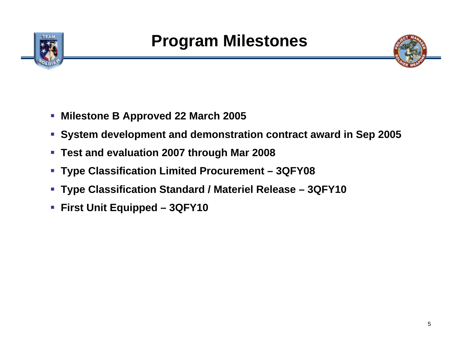



- **Milestone B Approved 22 March 2005**
- **System development and demonstration contract award in Sep 2005**
- **Test and evaluation 2007 through Mar 2008**
- **Type Classification Limited Procurement – 3QFY08**
- **Type Classification Standard / Materiel Release – 3QFY10**
- **First Unit Equipped – 3QFY10**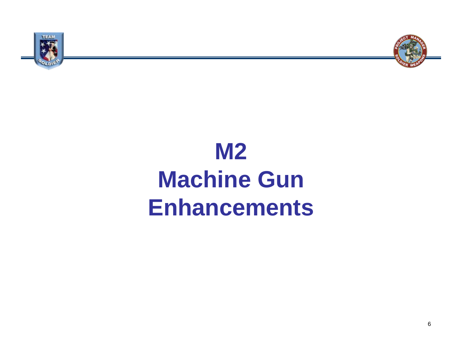



# **M2 Machine Gun Enhancements**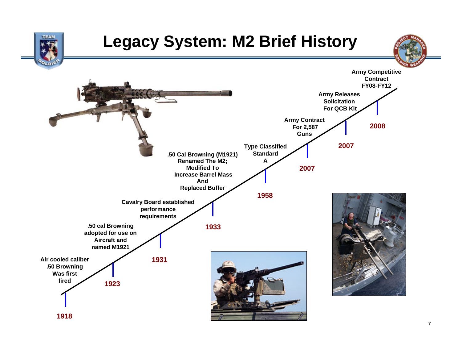

### **Legacy System: M2 Brief History**



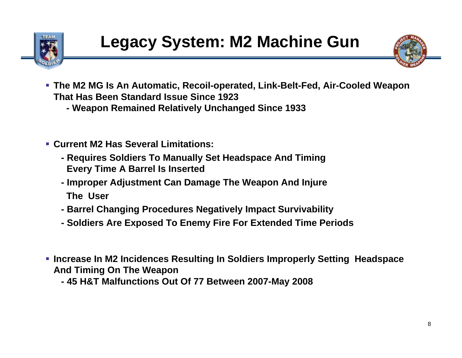



- **The M2 MG Is An Automatic, Recoil-operated, Link-Belt-Fed, Air-Cooled Weapon That Has Been Standard Issue Since 1923**
	- **- Weapon Remained Relatively Unchanged Since 1933**
- **Current M2 Has Several Limitations:** 
	- **- Requires Soldiers To Manually Set Headspace And Timing Every Time A Barrel Is Inserted**
	- **- Improper Adjustment Can Damage The Weapon And Injure The User**
	- **- Barrel Changing Procedures Negatively Impact Survivability**
	- **- Soldiers Are Exposed To Enemy Fire For Extended Time Periods**
- **Increase In M2 Incidences Resulting In Soldiers Improperly Setting Headspace And Timing On The Weapon**
	- **- 45 H&T Malfunctions Out Of 77 Between 2007-May 2008**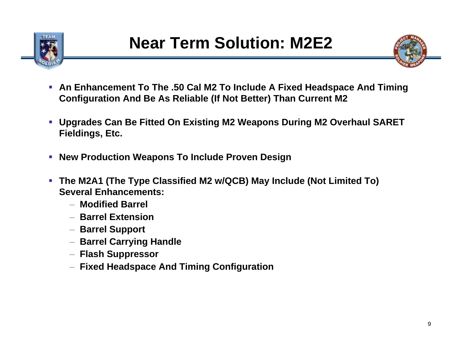



- L. **An Enhancement To The .50 Cal M2 To Include A Fixed Headspace And Timing Configuration And Be As Reliable (If Not Better) Than Current M2**
- **Upgrades Can Be Fitted On Existing M2 Weapons During M2 Overhaul SARET Fieldings, Etc.**
- $\mathcal{L}_{\rm{eff}}$ **New Production Weapons To Include Proven Design**
- Г **The M2A1 (The Type Classified M2 w/QCB) May Include (Not Limited To) Several Enhancements:**
	- **Modified Barrel**
	- **Barrel Extension**
	- **Barrel Support**
	- **Barrel Carrying Handle**
	- **Flash Suppressor**
	- **Fixed Headspace And Timing Configuration**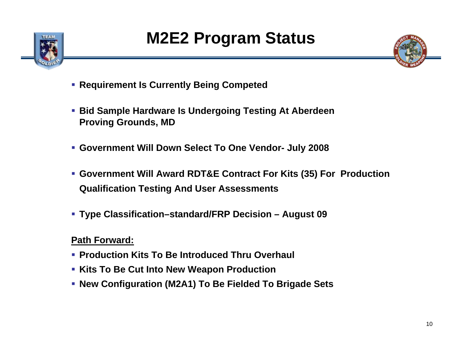



- **Requirement Is Currently Being Competed**
- **Bid Sample Hardware Is Undergoing Testing At Aberdeen Proving Grounds, MD**
- **Government Will Down Select To One Vendor- July 2008**
- **Government Will Award RDT&E Contract For Kits (35) For Production Qualification Testing And User Assessments**
- **Type Classification–standard/FRP Decision – August 09**

### **Path Forward:**

- **Production Kits To Be Introduced Thru Overhaul**
- **Kits To Be Cut Into New Weapon Production**
- **New Configuration (M2A1) To Be Fielded To Brigade Sets**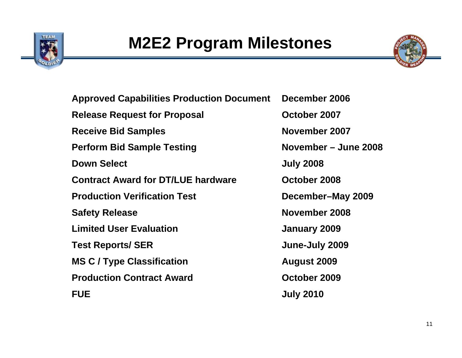



**Approved Capabilities Production Document December 2006 Release Request for Proposal <b>CE October 2007 Receive Bid Samples November 2007 Perform Bid Sample Testing Movember – June 2008 Down Select July 2008 Contract Award for DT/LUE hardware October 2008Production Verification TestSafety Release <b>November 2008 Limited User Evaluation January 2009 Test Reports/ SER June-July 2009 MS C / Type Classification August 2009 Production Contract Award October 2009 FUEJuly 2010**

**December–May 2009**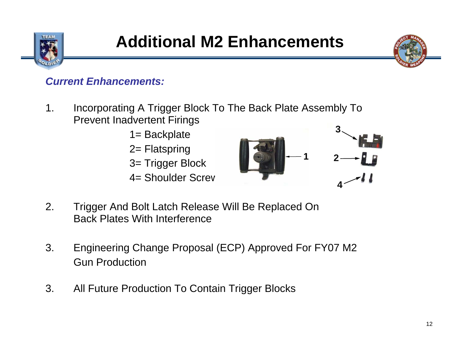



### *Current Enhancements:*

- 1. Incorporating A Trigger Block To The Back Plate Assembly To Prevent Inadvertent Firings
	- 1= Backplate 2= Flatspring 3= Trigger Block 4= Shoulder Screw



- 2. Trigger And Bolt Latch Release Will Be Replaced On Back Plates With Interference
- 3. Engineering Change Proposal (ECP) Approved For FY07 M2 Gun Production
- 3. All Future Production To Contain Trigger Blocks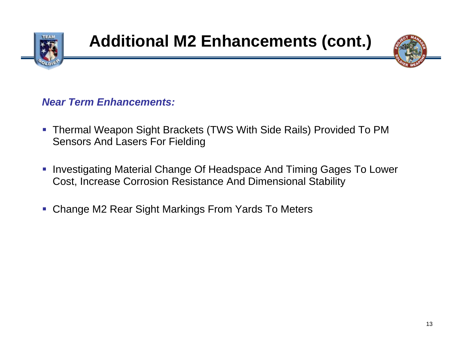



#### *Near Term Enhancements:*

- $\mathcal{L}_{\mathcal{A}}$  Thermal Weapon Sight Brackets (TWS With Side Rails) Provided To PM Sensors And Lasers For Fielding
- $\mathcal{C}$  Investigating Material Change Of Headspace And Timing Gages To Lower Cost, Increase Corrosion Resistance And Dimensional Stability
- $\mathcal{L}_{\mathcal{A}}$ Change M2 Rear Sight Markings From Yards To Meters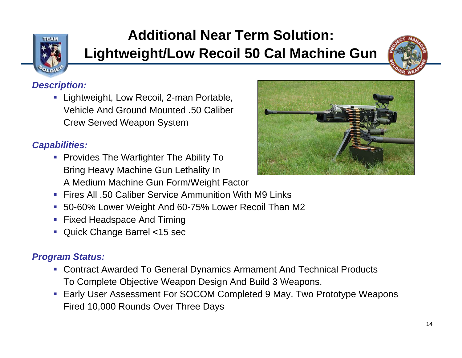

### **Additional Near Term Solution: Lightweight/Low Recoil 50 Cal Machine Gun**



#### *Description:*

■ Lightweight, Low Recoil, 2-man Portable, Vehicle And Ground Mounted .50 Caliber Crew Served Weapon System

#### *Capabilities:*

**Provides The Warfighter The Ability To** Bring Heavy Machine Gun Lethality In A Medium Machine Gun Form/Weight Factor



- $\mathcal{C}$ Fires All .50 Caliber Service Ammunition With M9 Links
- $\mathcal{C}$ 50-60% Lower Weight And 60-75% Lower Recoil Than M2
- ш Fixed Headspace And Timing
- Quick Change Barrel <15 sec

#### *Program Status:*

- Contract Awarded To General Dynamics Armament And Technical Products To Complete Objective Weapon Design And Build 3 Weapons.
- $\mathcal{L}_{\mathcal{A}}$  Early User Assessment For SOCOM Completed 9 May. Two Prototype Weapons Fired 10,000 Rounds Over Three Days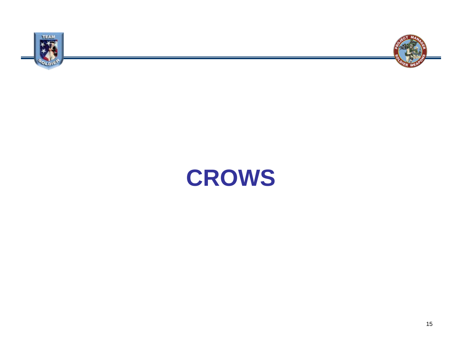



# **CROWS**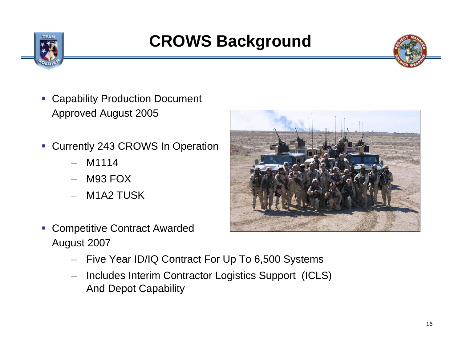

# **CROWS Background**

- П Capability Production Document Approved August 2005
- $\mathcal{L}_{\mathcal{A}}$  Currently 243 CROWS In Operation
	- M1114
	- M93 FOX
	- M1A2 TUSK



- ▉ Competitive Contract Awarded August 2007
	- Five Year ID/IQ Contract For Up To 6,500 Systems
	- Includes Interim Contractor Logistics Support (ICLS) And Depot Capability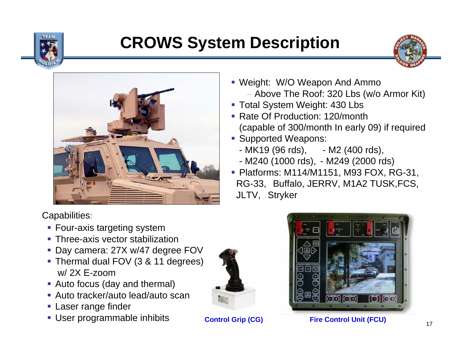

# **CROWS System Description**





Capabilities:

- **Four-axis targeting system**
- **Three-axis vector stabilization**
- Day camera: 27X w/47 degree FOV
- Thermal dual FOV (3 & 11 degrees) w/ 2X E-zoom
- Auto focus (day and thermal)
- Auto tracker/auto lead/auto scan
- **Laser range finder**
- User programmable inhibits



- Total System Weight: 430 Lbs
- Rate Of Production: 120/month (capable of 300/month In early 09) if required
- **Supported Weapons:** 
	- MK19 (96 rds), - M2 (400 rds),
	- M240 (1000 rds), M249 (2000 rds)
- Platforms: M114/M1151, M93 FOX, RG-31, RG-33, Buffalo, JERRV, M1A2 TUSK,FCS, JLTV, Stryker



#### **Control Grip (CG) Fire Control Unit (FCU)**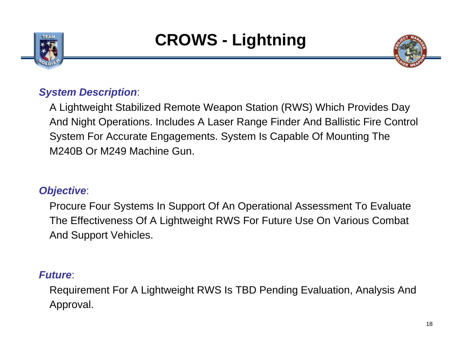



### *System Description*:

A Lightweight Stabilized Remote Weapon Station (RWS) Which Provides Day And Night Operations. Includes A Laser Range Finder And Ballistic Fire Control System For Accurate Engagements. System Is Capable Of Mounting The M240B Or M249 Machine Gun.

### *Objective*:

Procure Four Systems In Support Of An Operational Assessment To Evaluate The Effectiveness Of A Lightweight RWS For Future Use On Various Combat And Support Vehicles.

### *Future*:

Requirement For A Lightweight RWS Is TBD Pending Evaluation, Analysis And Approval.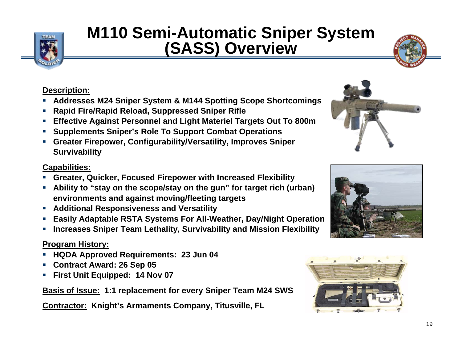

## **M110 Semi-Automatic Sniper System (SASS) Overview**



#### **Description:**

- Ξ **Addresses M24 Sniper System & M144 Spotting Scope Shortcomings**
- ш **Rapid Fire/Rapid Reload, Suppressed Sniper Rifle**
- ш **Effective Against Personnel and Light Materiel Targets Out To 800m**
- ш **Supplements Sniper's Role To Support Combat Operations**
- ш **Greater Firepower, Configurability/Versatility, Improves Sniper Survivability**

#### **Capabilities:**

- П **Greater, Quicker, Focused Firepower with Increased Flexibility**
- П **Ability to "stay on the scope/stay on the gun" for target rich (urban) environments and against moving/fleeting targets**
- П **Additional Responsiveness and Versatility**
- П **Easily Adaptable RSTA Systems For All-Weather, Day/Night Operation**
- П **Increases Sniper Team Lethality, Survivability and Mission Flexibility**

#### **Program History:**

- П **HQDA Approved Requirements: 23 Jun 04**
- П **Contract Award: 26 Sep 05**
- П **First Unit Equipped: 14 Nov 07**

**Basis of Issue: 1:1 replacement for every Sniper Team M24 SWS**

**Contractor: Knight's Armaments Company, Titusville, FL**